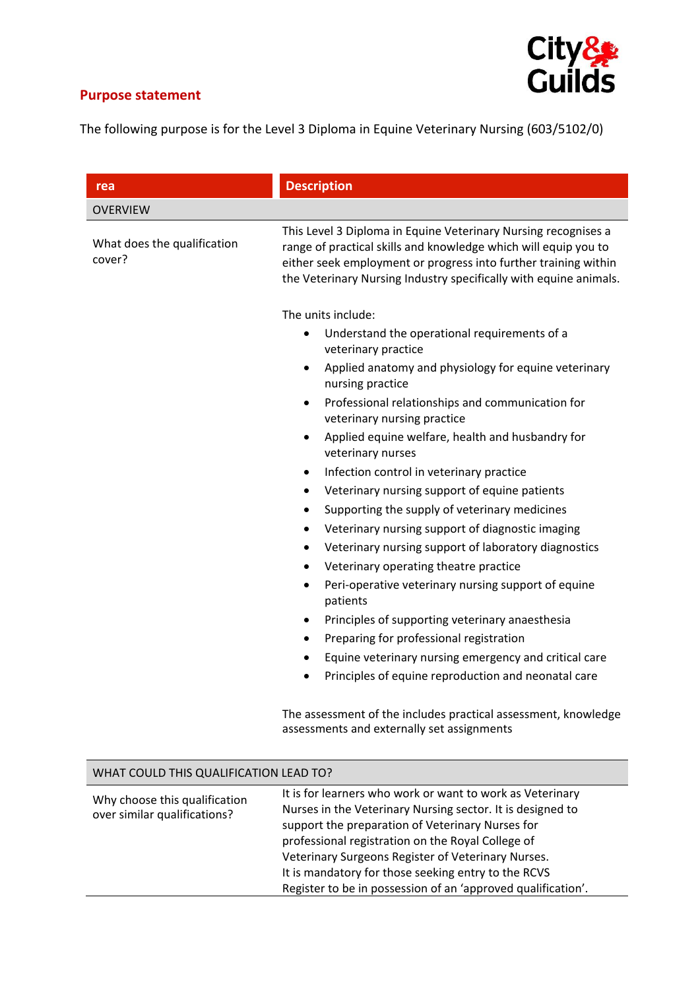## **Purpose statement**



The following purpose is for the Level 3 Diploma in Equine Veterinary Nursing (603/5102/0)

| rea                                                           | <b>Description</b>                                                                                                                                                                                                                                                        |
|---------------------------------------------------------------|---------------------------------------------------------------------------------------------------------------------------------------------------------------------------------------------------------------------------------------------------------------------------|
| <b>OVERVIEW</b>                                               |                                                                                                                                                                                                                                                                           |
| What does the qualification<br>cover?                         | This Level 3 Diploma in Equine Veterinary Nursing recognises a<br>range of practical skills and knowledge which will equip you to<br>either seek employment or progress into further training within<br>the Veterinary Nursing Industry specifically with equine animals. |
|                                                               | The units include:                                                                                                                                                                                                                                                        |
|                                                               | Understand the operational requirements of a<br>$\bullet$<br>veterinary practice                                                                                                                                                                                          |
|                                                               | Applied anatomy and physiology for equine veterinary<br>$\bullet$<br>nursing practice                                                                                                                                                                                     |
|                                                               | Professional relationships and communication for<br>$\bullet$<br>veterinary nursing practice                                                                                                                                                                              |
|                                                               | Applied equine welfare, health and husbandry for<br>$\bullet$<br>veterinary nurses                                                                                                                                                                                        |
|                                                               | Infection control in veterinary practice<br>$\bullet$                                                                                                                                                                                                                     |
|                                                               | Veterinary nursing support of equine patients<br>٠                                                                                                                                                                                                                        |
|                                                               | Supporting the supply of veterinary medicines<br>٠                                                                                                                                                                                                                        |
|                                                               | Veterinary nursing support of diagnostic imaging<br>$\bullet$                                                                                                                                                                                                             |
|                                                               | Veterinary nursing support of laboratory diagnostics<br>$\bullet$                                                                                                                                                                                                         |
|                                                               | Veterinary operating theatre practice<br>٠                                                                                                                                                                                                                                |
|                                                               | Peri-operative veterinary nursing support of equine<br>$\bullet$<br>patients                                                                                                                                                                                              |
|                                                               | Principles of supporting veterinary anaesthesia<br>$\bullet$                                                                                                                                                                                                              |
|                                                               | Preparing for professional registration<br>$\bullet$                                                                                                                                                                                                                      |
|                                                               | Equine veterinary nursing emergency and critical care<br>$\bullet$                                                                                                                                                                                                        |
|                                                               | Principles of equine reproduction and neonatal care                                                                                                                                                                                                                       |
|                                                               | The assessment of the includes practical assessment, knowledge<br>assessments and externally set assignments                                                                                                                                                              |
| WHAT COULD THIS QUALIFICATION LEAD TO?                        |                                                                                                                                                                                                                                                                           |
|                                                               | It is for learners who work or want to work as Veterinary                                                                                                                                                                                                                 |
| Why choose this qualification<br>over similar qualifications? | Nurses in the Veterinary Nursing sector. It is designed to<br>support the preparation of Veterinary Nurses for<br>professional registration on the Royal College of                                                                                                       |
|                                                               | Veterinary Surgeons Register of Veterinary Nurses.                                                                                                                                                                                                                        |
|                                                               | It is mandatory for those seeking entry to the RCVS                                                                                                                                                                                                                       |

Register to be in possession of an 'approved qualification'.